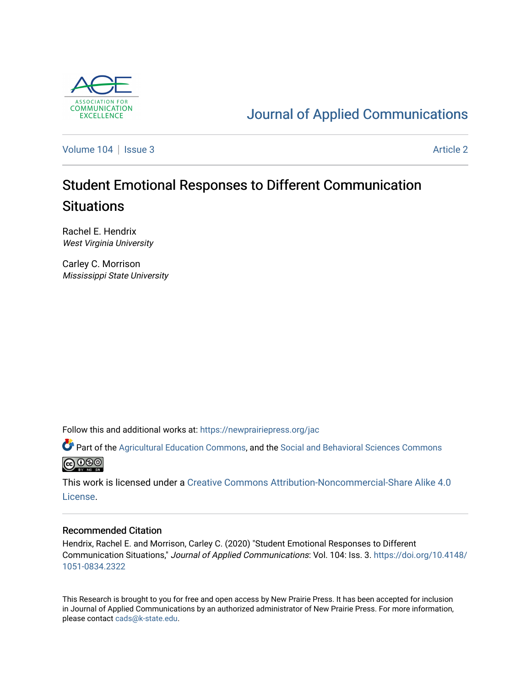

# [Journal of Applied Communications](https://newprairiepress.org/jac)

[Volume 104](https://newprairiepress.org/jac/vol104) | [Issue 3](https://newprairiepress.org/jac/vol104/iss3) Article 2

# Student Emotional Responses to Different Communication **Situations**

Rachel E. Hendrix West Virginia University

Carley C. Morrison Mississippi State University

Follow this and additional works at: [https://newprairiepress.org/jac](https://newprairiepress.org/jac?utm_source=newprairiepress.org%2Fjac%2Fvol104%2Fiss3%2F2&utm_medium=PDF&utm_campaign=PDFCoverPages)

Part of the [Agricultural Education Commons,](http://network.bepress.com/hgg/discipline/1231?utm_source=newprairiepress.org%2Fjac%2Fvol104%2Fiss3%2F2&utm_medium=PDF&utm_campaign=PDFCoverPages) and the [Social and Behavioral Sciences Commons](http://network.bepress.com/hgg/discipline/316?utm_source=newprairiepress.org%2Fjac%2Fvol104%2Fiss3%2F2&utm_medium=PDF&utm_campaign=PDFCoverPages)  **@@@** 

This work is licensed under a [Creative Commons Attribution-Noncommercial-Share Alike 4.0](https://creativecommons.org/licenses/by-nc-sa/4.0/) [License.](https://creativecommons.org/licenses/by-nc-sa/4.0/)

### Recommended Citation

Hendrix, Rachel E. and Morrison, Carley C. (2020) "Student Emotional Responses to Different Communication Situations," Journal of Applied Communications: Vol. 104: Iss. 3. [https://doi.org/10.4148/](https://doi.org/10.4148/1051-0834.2322) [1051-0834.2322](https://doi.org/10.4148/1051-0834.2322) 

This Research is brought to you for free and open access by New Prairie Press. It has been accepted for inclusion in Journal of Applied Communications by an authorized administrator of New Prairie Press. For more information, please contact [cads@k-state.edu.](mailto:cads@k-state.edu)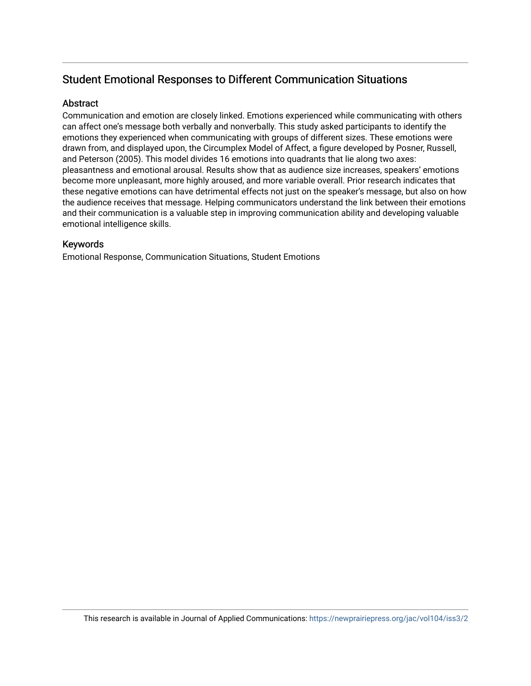# Student Emotional Responses to Different Communication Situations

# **Abstract**

Communication and emotion are closely linked. Emotions experienced while communicating with others can affect one's message both verbally and nonverbally. This study asked participants to identify the emotions they experienced when communicating with groups of different sizes. These emotions were drawn from, and displayed upon, the Circumplex Model of Affect, a figure developed by Posner, Russell, and Peterson (2005). This model divides 16 emotions into quadrants that lie along two axes: pleasantness and emotional arousal. Results show that as audience size increases, speakers' emotions become more unpleasant, more highly aroused, and more variable overall. Prior research indicates that these negative emotions can have detrimental effects not just on the speaker's message, but also on how the audience receives that message. Helping communicators understand the link between their emotions and their communication is a valuable step in improving communication ability and developing valuable emotional intelligence skills.

# Keywords

Emotional Response, Communication Situations, Student Emotions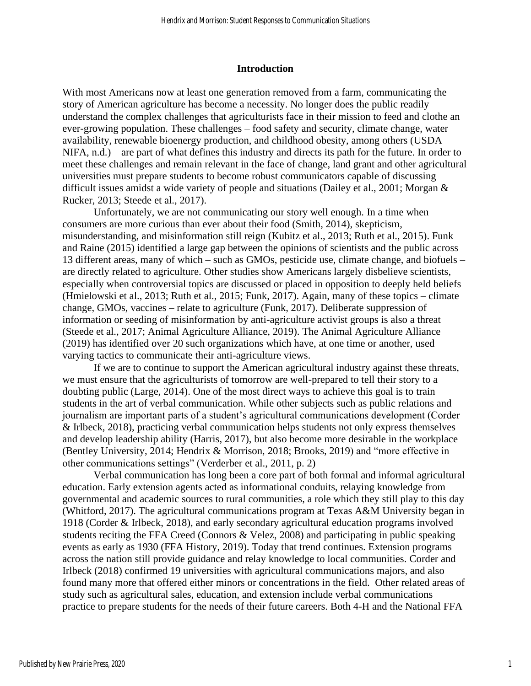#### **Introduction**

With most Americans now at least one generation removed from a farm, communicating the story of American agriculture has become a necessity. No longer does the public readily understand the complex challenges that agriculturists face in their mission to feed and clothe an ever-growing population. These challenges – food safety and security, climate change, water availability, renewable bioenergy production, and childhood obesity, among others (USDA NIFA, n.d.) – are part of what defines this industry and directs its path for the future. In order to meet these challenges and remain relevant in the face of change, land grant and other agricultural universities must prepare students to become robust communicators capable of discussing difficult issues amidst a wide variety of people and situations (Dailey et al., 2001; Morgan  $\&$ Rucker, 2013; Steede et al., 2017).

Unfortunately, we are not communicating our story well enough. In a time when consumers are more curious than ever about their food (Smith, 2014), skepticism, misunderstanding, and misinformation still reign (Kubitz et al., 2013; Ruth et al., 2015). Funk and Raine (2015) identified a large gap between the opinions of scientists and the public across 13 different areas, many of which – such as GMOs, pesticide use, climate change, and biofuels – are directly related to agriculture. Other studies show Americans largely disbelieve scientists, especially when controversial topics are discussed or placed in opposition to deeply held beliefs (Hmielowski et al., 2013; Ruth et al., 2015; Funk, 2017). Again, many of these topics – climate change, GMOs, vaccines – relate to agriculture (Funk, 2017). Deliberate suppression of information or seeding of misinformation by anti-agriculture activist groups is also a threat (Steede et al., 2017; Animal Agriculture Alliance, 2019). The Animal Agriculture Alliance (2019) has identified over 20 such organizations which have, at one time or another, used varying tactics to communicate their anti-agriculture views.

If we are to continue to support the American agricultural industry against these threats, we must ensure that the agriculturists of tomorrow are well-prepared to tell their story to a doubting public (Large, 2014). One of the most direct ways to achieve this goal is to train students in the art of verbal communication. While other subjects such as public relations and journalism are important parts of a student's agricultural communications development (Corder & Irlbeck, 2018), practicing verbal communication helps students not only express themselves and develop leadership ability (Harris, 2017), but also become more desirable in the workplace (Bentley University, 2014; Hendrix & Morrison, 2018; Brooks, 2019) and "more effective in other communications settings" (Verderber et al., 2011, p. 2)

Verbal communication has long been a core part of both formal and informal agricultural education. Early extension agents acted as informational conduits, relaying knowledge from governmental and academic sources to rural communities, a role which they still play to this day (Whitford, 2017). The agricultural communications program at Texas A&M University began in 1918 (Corder & Irlbeck, 2018), and early secondary agricultural education programs involved students reciting the FFA Creed (Connors & Velez, 2008) and participating in public speaking events as early as 1930 (FFA History, 2019). Today that trend continues. Extension programs across the nation still provide guidance and relay knowledge to local communities. Corder and Irlbeck (2018) confirmed 19 universities with agricultural communications majors, and also found many more that offered either minors or concentrations in the field. Other related areas of study such as agricultural sales, education, and extension include verbal communications practice to prepare students for the needs of their future careers. Both 4-H and the National FFA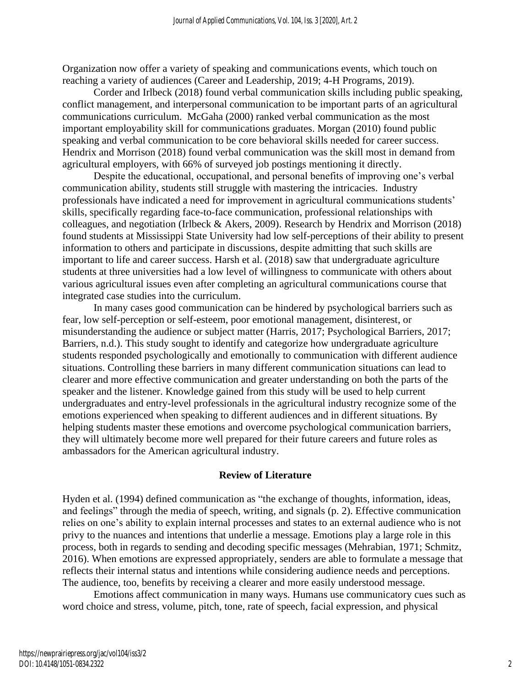Organization now offer a variety of speaking and communications events, which touch on reaching a variety of audiences (Career and Leadership, 2019; 4-H Programs, 2019).

Corder and Irlbeck (2018) found verbal communication skills including public speaking, conflict management, and interpersonal communication to be important parts of an agricultural communications curriculum. McGaha (2000) ranked verbal communication as the most important employability skill for communications graduates. Morgan (2010) found public speaking and verbal communication to be core behavioral skills needed for career success. Hendrix and Morrison (2018) found verbal communication was the skill most in demand from agricultural employers, with 66% of surveyed job postings mentioning it directly.

Despite the educational, occupational, and personal benefits of improving one's verbal communication ability, students still struggle with mastering the intricacies. Industry professionals have indicated a need for improvement in agricultural communications students' skills, specifically regarding face-to-face communication, professional relationships with colleagues, and negotiation (Irlbeck & Akers, 2009). Research by Hendrix and Morrison (2018) found students at Mississippi State University had low self-perceptions of their ability to present information to others and participate in discussions, despite admitting that such skills are important to life and career success. Harsh et al. (2018) saw that undergraduate agriculture students at three universities had a low level of willingness to communicate with others about various agricultural issues even after completing an agricultural communications course that integrated case studies into the curriculum.

In many cases good communication can be hindered by psychological barriers such as fear, low self-perception or self-esteem, poor emotional management, disinterest, or misunderstanding the audience or subject matter (Harris, 2017; Psychological Barriers, 2017; Barriers, n.d.). This study sought to identify and categorize how undergraduate agriculture students responded psychologically and emotionally to communication with different audience situations. Controlling these barriers in many different communication situations can lead to clearer and more effective communication and greater understanding on both the parts of the speaker and the listener. Knowledge gained from this study will be used to help current undergraduates and entry-level professionals in the agricultural industry recognize some of the emotions experienced when speaking to different audiences and in different situations. By helping students master these emotions and overcome psychological communication barriers, they will ultimately become more well prepared for their future careers and future roles as ambassadors for the American agricultural industry.

# **Review of Literature**

Hyden et al. (1994) defined communication as "the exchange of thoughts, information, ideas, and feelings" through the media of speech, writing, and signals (p. 2). Effective communication relies on one's ability to explain internal processes and states to an external audience who is not privy to the nuances and intentions that underlie a message. Emotions play a large role in this process, both in regards to sending and decoding specific messages (Mehrabian, 1971; Schmitz, 2016). When emotions are expressed appropriately, senders are able to formulate a message that reflects their internal status and intentions while considering audience needs and perceptions. The audience, too, benefits by receiving a clearer and more easily understood message.

Emotions affect communication in many ways. Humans use communicatory cues such as word choice and stress, volume, pitch, tone, rate of speech, facial expression, and physical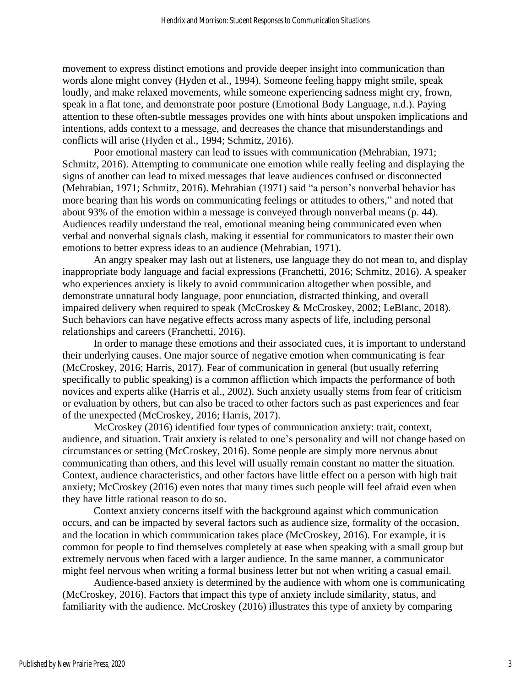movement to express distinct emotions and provide deeper insight into communication than words alone might convey (Hyden et al., 1994). Someone feeling happy might smile, speak loudly, and make relaxed movements, while someone experiencing sadness might cry, frown, speak in a flat tone, and demonstrate poor posture (Emotional Body Language, n.d.). Paying attention to these often-subtle messages provides one with hints about unspoken implications and intentions, adds context to a message, and decreases the chance that misunderstandings and conflicts will arise (Hyden et al., 1994; Schmitz, 2016).

Poor emotional mastery can lead to issues with communication (Mehrabian, 1971; Schmitz, 2016). Attempting to communicate one emotion while really feeling and displaying the signs of another can lead to mixed messages that leave audiences confused or disconnected (Mehrabian, 1971; Schmitz, 2016). Mehrabian (1971) said "a person's nonverbal behavior has more bearing than his words on communicating feelings or attitudes to others," and noted that about 93% of the emotion within a message is conveyed through nonverbal means (p. 44). Audiences readily understand the real, emotional meaning being communicated even when verbal and nonverbal signals clash, making it essential for communicators to master their own emotions to better express ideas to an audience (Mehrabian, 1971).

An angry speaker may lash out at listeners, use language they do not mean to, and display inappropriate body language and facial expressions (Franchetti, 2016; Schmitz, 2016). A speaker who experiences anxiety is likely to avoid communication altogether when possible, and demonstrate unnatural body language, poor enunciation, distracted thinking, and overall impaired delivery when required to speak (McCroskey & McCroskey, 2002; LeBlanc, 2018). Such behaviors can have negative effects across many aspects of life, including personal relationships and careers (Franchetti, 2016).

In order to manage these emotions and their associated cues, it is important to understand their underlying causes. One major source of negative emotion when communicating is fear (McCroskey, 2016; Harris, 2017). Fear of communication in general (but usually referring specifically to public speaking) is a common affliction which impacts the performance of both novices and experts alike (Harris et al., 2002). Such anxiety usually stems from fear of criticism or evaluation by others, but can also be traced to other factors such as past experiences and fear of the unexpected (McCroskey, 2016; Harris, 2017).

McCroskey (2016) identified four types of communication anxiety: trait, context, audience, and situation. Trait anxiety is related to one's personality and will not change based on circumstances or setting (McCroskey, 2016). Some people are simply more nervous about communicating than others, and this level will usually remain constant no matter the situation. Context, audience characteristics, and other factors have little effect on a person with high trait anxiety; McCroskey (2016) even notes that many times such people will feel afraid even when they have little rational reason to do so.

Context anxiety concerns itself with the background against which communication occurs, and can be impacted by several factors such as audience size, formality of the occasion, and the location in which communication takes place (McCroskey, 2016). For example, it is common for people to find themselves completely at ease when speaking with a small group but extremely nervous when faced with a larger audience. In the same manner, a communicator might feel nervous when writing a formal business letter but not when writing a casual email.

Audience-based anxiety is determined by the audience with whom one is communicating (McCroskey, 2016). Factors that impact this type of anxiety include similarity, status, and familiarity with the audience. McCroskey (2016) illustrates this type of anxiety by comparing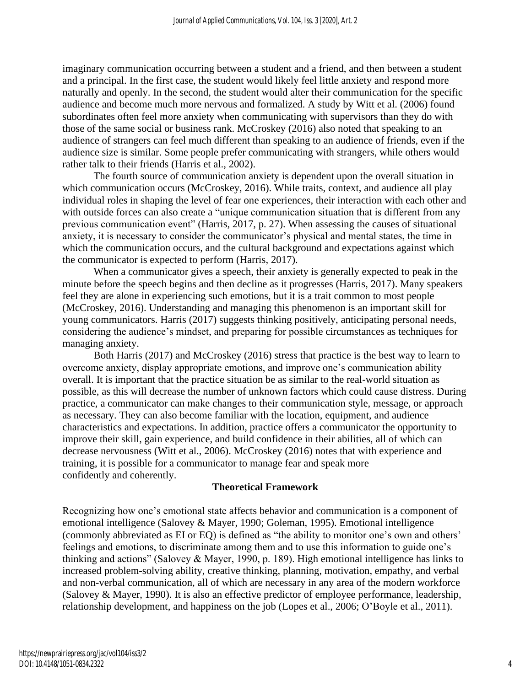imaginary communication occurring between a student and a friend, and then between a student and a principal. In the first case, the student would likely feel little anxiety and respond more naturally and openly. In the second, the student would alter their communication for the specific audience and become much more nervous and formalized. A study by Witt et al. (2006) found subordinates often feel more anxiety when communicating with supervisors than they do with those of the same social or business rank. McCroskey (2016) also noted that speaking to an audience of strangers can feel much different than speaking to an audience of friends, even if the audience size is similar. Some people prefer communicating with strangers, while others would rather talk to their friends (Harris et al., 2002).

The fourth source of communication anxiety is dependent upon the overall situation in which communication occurs (McCroskey, 2016). While traits, context, and audience all play individual roles in shaping the level of fear one experiences, their interaction with each other and with outside forces can also create a "unique communication situation that is different from any previous communication event" (Harris, 2017, p. 27). When assessing the causes of situational anxiety, it is necessary to consider the communicator's physical and mental states, the time in which the communication occurs, and the cultural background and expectations against which the communicator is expected to perform (Harris, 2017).

When a communicator gives a speech, their anxiety is generally expected to peak in the minute before the speech begins and then decline as it progresses (Harris, 2017). Many speakers feel they are alone in experiencing such emotions, but it is a trait common to most people (McCroskey, 2016). Understanding and managing this phenomenon is an important skill for young communicators. Harris (2017) suggests thinking positively, anticipating personal needs, considering the audience's mindset, and preparing for possible circumstances as techniques for managing anxiety.

Both Harris (2017) and McCroskey (2016) stress that practice is the best way to learn to overcome anxiety, display appropriate emotions, and improve one's communication ability overall. It is important that the practice situation be as similar to the real-world situation as possible, as this will decrease the number of unknown factors which could cause distress. During practice, a communicator can make changes to their communication style, message, or approach as necessary. They can also become familiar with the location, equipment, and audience characteristics and expectations. In addition, practice offers a communicator the opportunity to improve their skill, gain experience, and build confidence in their abilities, all of which can decrease nervousness (Witt et al., 2006). McCroskey (2016) notes that with experience and training, it is possible for a communicator to manage fear and speak more confidently and coherently.

# **Theoretical Framework**

Recognizing how one's emotional state affects behavior and communication is a component of emotional intelligence (Salovey & Mayer, 1990; Goleman, 1995). Emotional intelligence (commonly abbreviated as EI or EQ) is defined as "the ability to monitor one's own and others' feelings and emotions, to discriminate among them and to use this information to guide one's thinking and actions" (Salovey & Mayer, 1990, p. 189). High emotional intelligence has links to increased problem-solving ability, creative thinking, planning, motivation, empathy, and verbal and non-verbal communication, all of which are necessary in any area of the modern workforce (Salovey & Mayer, 1990). It is also an effective predictor of employee performance, leadership, relationship development, and happiness on the job (Lopes et al., 2006; O'Boyle et al., 2011).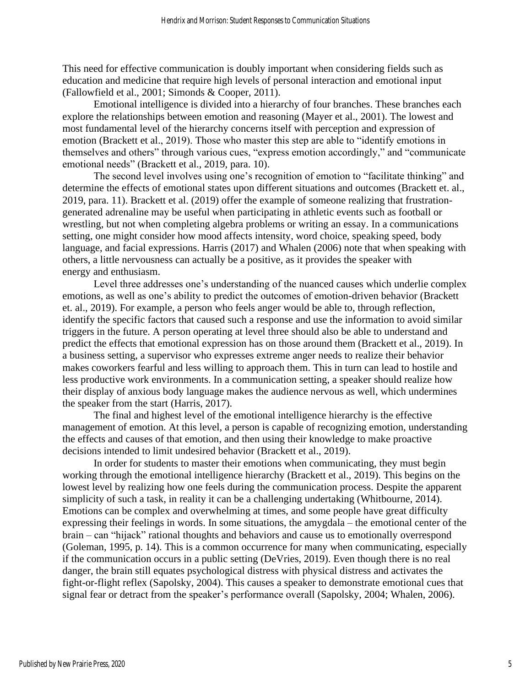This need for effective communication is doubly important when considering fields such as education and medicine that require high levels of personal interaction and emotional input (Fallowfield et al., 2001; Simonds & Cooper, 2011).

Emotional intelligence is divided into a hierarchy of four branches. These branches each explore the relationships between emotion and reasoning (Mayer et al., 2001). The lowest and most fundamental level of the hierarchy concerns itself with perception and expression of emotion (Brackett et al., 2019). Those who master this step are able to "identify emotions in themselves and others" through various cues, "express emotion accordingly," and "communicate emotional needs" (Brackett et al., 2019, para. 10).

The second level involves using one's recognition of emotion to "facilitate thinking" and determine the effects of emotional states upon different situations and outcomes (Brackett et. al., 2019, para. 11). Brackett et al. (2019) offer the example of someone realizing that frustrationgenerated adrenaline may be useful when participating in athletic events such as football or wrestling, but not when completing algebra problems or writing an essay. In a communications setting, one might consider how mood affects intensity, word choice, speaking speed, body language, and facial expressions. Harris (2017) and Whalen (2006) note that when speaking with others, a little nervousness can actually be a positive, as it provides the speaker with energy and enthusiasm.

Level three addresses one's understanding of the nuanced causes which underlie complex emotions, as well as one's ability to predict the outcomes of emotion-driven behavior (Brackett et. al., 2019). For example, a person who feels anger would be able to, through reflection, identify the specific factors that caused such a response and use the information to avoid similar triggers in the future. A person operating at level three should also be able to understand and predict the effects that emotional expression has on those around them (Brackett et al., 2019). In a business setting, a supervisor who expresses extreme anger needs to realize their behavior makes coworkers fearful and less willing to approach them. This in turn can lead to hostile and less productive work environments. In a communication setting, a speaker should realize how their display of anxious body language makes the audience nervous as well, which undermines the speaker from the start (Harris, 2017).

The final and highest level of the emotional intelligence hierarchy is the effective management of emotion. At this level, a person is capable of recognizing emotion, understanding the effects and causes of that emotion, and then using their knowledge to make proactive decisions intended to limit undesired behavior (Brackett et al., 2019).

In order for students to master their emotions when communicating, they must begin working through the emotional intelligence hierarchy (Brackett et al., 2019). This begins on the lowest level by realizing how one feels during the communication process. Despite the apparent simplicity of such a task, in reality it can be a challenging undertaking (Whitbourne, 2014). Emotions can be complex and overwhelming at times, and some people have great difficulty expressing their feelings in words. In some situations, the amygdala – the emotional center of the brain – can "hijack" rational thoughts and behaviors and cause us to emotionally overrespond (Goleman, 1995, p. 14). This is a common occurrence for many when communicating, especially if the communication occurs in a public setting (DeVries, 2019). Even though there is no real danger, the brain still equates psychological distress with physical distress and activates the fight-or-flight reflex (Sapolsky, 2004). This causes a speaker to demonstrate emotional cues that signal fear or detract from the speaker's performance overall (Sapolsky, 2004; Whalen, 2006).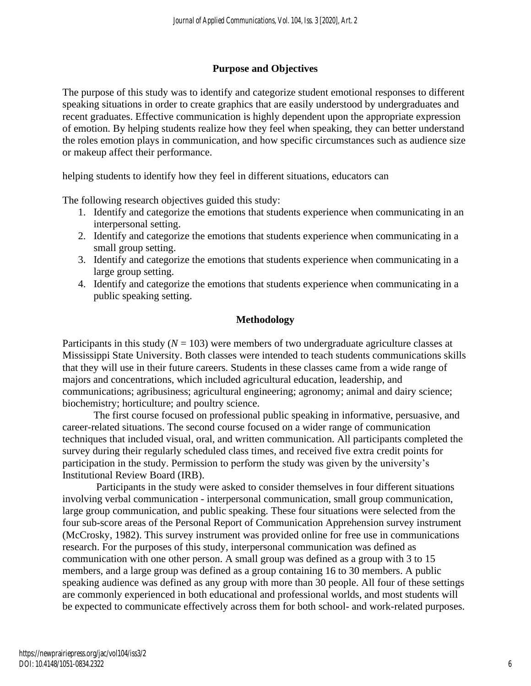# **Purpose and Objectives**

The purpose of this study was to identify and categorize student emotional responses to different speaking situations in order to create graphics that are easily understood by undergraduates and recent graduates. Effective communication is highly dependent upon the appropriate expression of emotion. By helping students realize how they feel when speaking, they can better understand the roles emotion plays in communication, and how specific circumstances such as audience size or makeup affect their performance.

helping students to identify how they feel in different situations, educators can

The following research objectives guided this study:

- 1. Identify and categorize the emotions that students experience when communicating in an interpersonal setting.
- 2. Identify and categorize the emotions that students experience when communicating in a small group setting.
- 3. Identify and categorize the emotions that students experience when communicating in a large group setting.
- 4. Identify and categorize the emotions that students experience when communicating in a public speaking setting.

# **Methodology**

Participants in this study  $(N = 103)$  were members of two undergraduate agriculture classes at Mississippi State University. Both classes were intended to teach students communications skills that they will use in their future careers. Students in these classes came from a wide range of majors and concentrations, which included agricultural education, leadership, and communications; agribusiness; agricultural engineering; agronomy; animal and dairy science; biochemistry; horticulture; and poultry science.

The first course focused on professional public speaking in informative, persuasive, and career-related situations. The second course focused on a wider range of communication techniques that included visual, oral, and written communication. All participants completed the survey during their regularly scheduled class times, and received five extra credit points for participation in the study. Permission to perform the study was given by the university's Institutional Review Board (IRB).

Participants in the study were asked to consider themselves in four different situations involving verbal communication - interpersonal communication, small group communication, large group communication, and public speaking. These four situations were selected from the four sub-score areas of the Personal Report of Communication Apprehension survey instrument (McCrosky, 1982). This survey instrument was provided online for free use in communications research. For the purposes of this study, interpersonal communication was defined as communication with one other person. A small group was defined as a group with 3 to 15 members, and a large group was defined as a group containing 16 to 30 members. A public speaking audience was defined as any group with more than 30 people. All four of these settings are commonly experienced in both educational and professional worlds, and most students will be expected to communicate effectively across them for both school- and work-related purposes.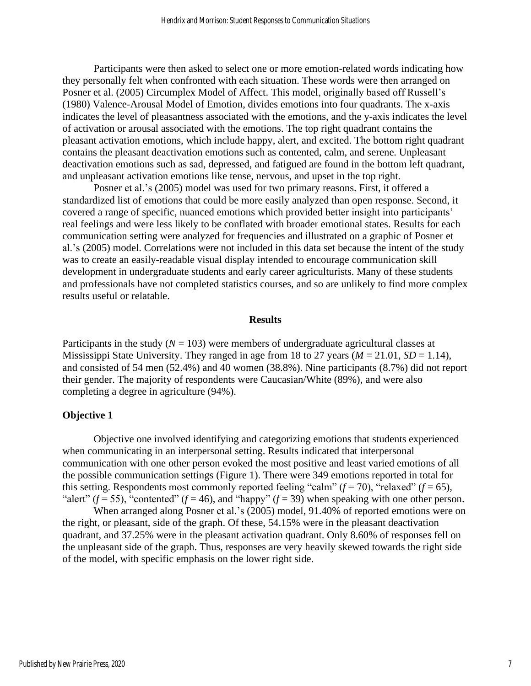Participants were then asked to select one or more emotion-related words indicating how they personally felt when confronted with each situation. These words were then arranged on Posner et al. (2005) Circumplex Model of Affect. This model, originally based off Russell's (1980) Valence-Arousal Model of Emotion, divides emotions into four quadrants. The x-axis indicates the level of pleasantness associated with the emotions, and the y-axis indicates the level of activation or arousal associated with the emotions. The top right quadrant contains the pleasant activation emotions, which include happy, alert, and excited. The bottom right quadrant contains the pleasant deactivation emotions such as contented, calm, and serene. Unpleasant deactivation emotions such as sad, depressed, and fatigued are found in the bottom left quadrant, and unpleasant activation emotions like tense, nervous, and upset in the top right.

Posner et al.'s (2005) model was used for two primary reasons. First, it offered a standardized list of emotions that could be more easily analyzed than open response. Second, it covered a range of specific, nuanced emotions which provided better insight into participants' real feelings and were less likely to be conflated with broader emotional states. Results for each communication setting were analyzed for frequencies and illustrated on a graphic of Posner et al.'s (2005) model. Correlations were not included in this data set because the intent of the study was to create an easily-readable visual display intended to encourage communication skill development in undergraduate students and early career agriculturists. Many of these students and professionals have not completed statistics courses, and so are unlikely to find more complex results useful or relatable.

#### **Results**

Participants in the study  $(N = 103)$  were members of undergraduate agricultural classes at Mississippi State University. They ranged in age from 18 to 27 years  $(M = 21.01, SD = 1.14)$ , and consisted of 54 men (52.4%) and 40 women (38.8%). Nine participants (8.7%) did not report their gender. The majority of respondents were Caucasian/White (89%), and were also completing a degree in agriculture (94%).

#### **Objective 1**

Objective one involved identifying and categorizing emotions that students experienced when communicating in an interpersonal setting. Results indicated that interpersonal communication with one other person evoked the most positive and least varied emotions of all the possible communication settings (Figure 1). There were 349 emotions reported in total for this setting. Respondents most commonly reported feeling "calm"  $(f = 70)$ , "relaxed"  $(f = 65)$ , "alert"  $(f = 55)$ , "contented"  $(f = 46)$ , and "happy"  $(f = 39)$  when speaking with one other person.

When arranged along Posner et al.'s (2005) model, 91.40% of reported emotions were on the right, or pleasant, side of the graph. Of these, 54.15% were in the pleasant deactivation quadrant, and 37.25% were in the pleasant activation quadrant. Only 8.60% of responses fell on the unpleasant side of the graph. Thus, responses are very heavily skewed towards the right side of the model, with specific emphasis on the lower right side.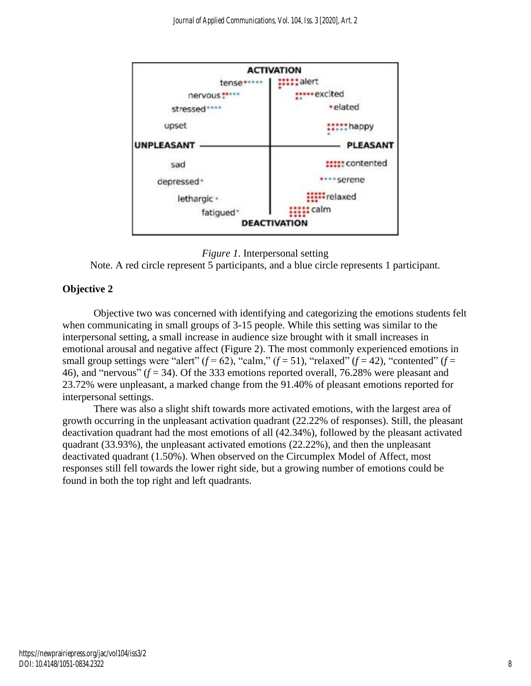

*Figure 1*. Interpersonal setting

# **Objective 2**

Objective two was concerned with identifying and categorizing the emotions students felt when communicating in small groups of 3-15 people. While this setting was similar to the interpersonal setting, a small increase in audience size brought with it small increases in emotional arousal and negative affect (Figure 2). The most commonly experienced emotions in small group settings were "alert"  $(f = 62)$ , "calm,"  $(f = 51)$ , "relaxed"  $(f = 42)$ , "contented"  $(f = 62)$ 46), and "nervous" (*f* = 34). Of the 333 emotions reported overall, 76.28% were pleasant and 23.72% were unpleasant, a marked change from the 91.40% of pleasant emotions reported for interpersonal settings.

There was also a slight shift towards more activated emotions, with the largest area of growth occurring in the unpleasant activation quadrant (22.22% of responses). Still, the pleasant deactivation quadrant had the most emotions of all (42.34%), followed by the pleasant activated quadrant (33.93%), the unpleasant activated emotions (22.22%), and then the unpleasant deactivated quadrant (1.50%). When observed on the Circumplex Model of Affect, most responses still fell towards the lower right side, but a growing number of emotions could be found in both the top right and left quadrants.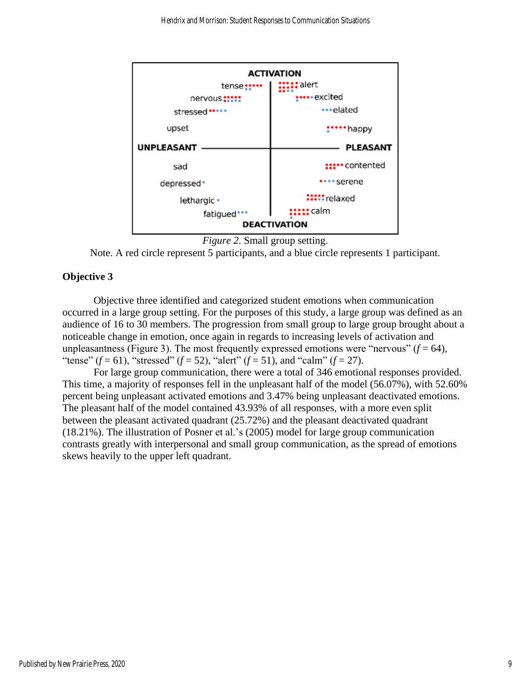

```
Figure 2. Small group setting.
```
# **Objective 3**

Objective three identified and categorized student emotions when communication occurred in a large group setting. For the purposes of this study, a large group was defined as an audience of 16 to 30 members. The progression from small group to large group brought about a noticeable change in emotion, once again in regards to increasing levels of activation and unpleasantness (Figure 3). The most frequently expressed emotions were "nervous"  $(f = 64)$ , "tense"  $(f = 61)$ , "stressed"  $(f = 52)$ , "alert"  $(f = 51)$ , and "calm"  $(f = 27)$ .

For large group communication, there were a total of 346 emotional responses provided. This time, a majority of responses fell in the unpleasant half of the model (56.07%), with 52.60% percent being unpleasant activated emotions and 3.47% being unpleasant deactivated emotions. The pleasant half of the model contained 43.93% of all responses, with a more even split between the pleasant activated quadrant (25.72%) and the pleasant deactivated quadrant (18.21%). The illustration of Posner et al.'s (2005) model for large group communication contrasts greatly with interpersonal and small group communication, as the spread of emotions skews heavily to the upper left quadrant.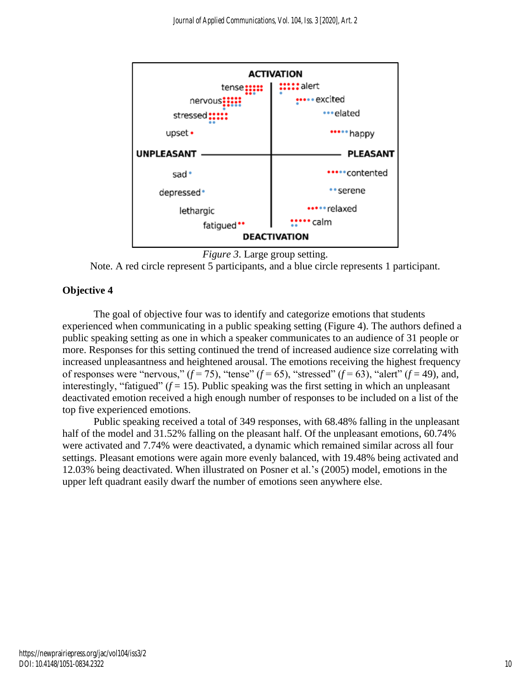

```
Figure 3. Large group setting.
```
# **Objective 4**

The goal of objective four was to identify and categorize emotions that students experienced when communicating in a public speaking setting (Figure 4). The authors defined a public speaking setting as one in which a speaker communicates to an audience of 31 people or more. Responses for this setting continued the trend of increased audience size correlating with increased unpleasantness and heightened arousal. The emotions receiving the highest frequency of responses were "nervous,"  $(f = 75)$ , "tense"  $(f = 65)$ , "stressed"  $(f = 63)$ , "alert"  $(f = 49)$ , and, interestingly, "fatigued"  $(f = 15)$ . Public speaking was the first setting in which an unpleasant deactivated emotion received a high enough number of responses to be included on a list of the top five experienced emotions.

Public speaking received a total of 349 responses, with 68.48% falling in the unpleasant half of the model and 31.52% falling on the pleasant half. Of the unpleasant emotions, 60.74% were activated and 7.74% were deactivated, a dynamic which remained similar across all four settings. Pleasant emotions were again more evenly balanced, with 19.48% being activated and 12.03% being deactivated. When illustrated on Posner et al.'s (2005) model, emotions in the upper left quadrant easily dwarf the number of emotions seen anywhere else.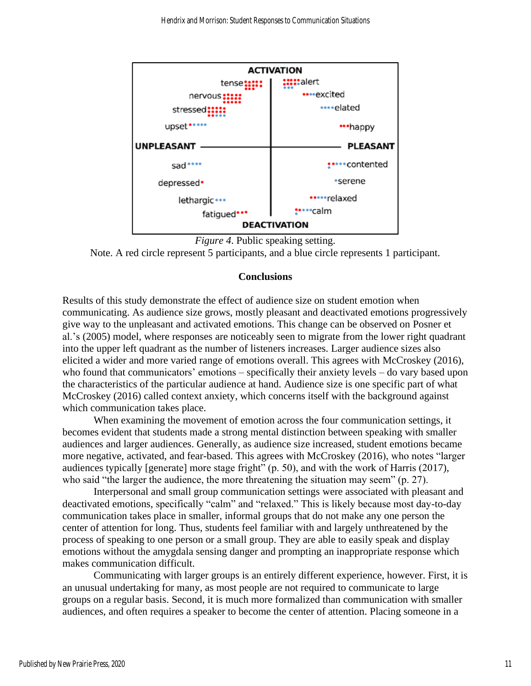



# **Conclusions**

Results of this study demonstrate the effect of audience size on student emotion when communicating. As audience size grows, mostly pleasant and deactivated emotions progressively give way to the unpleasant and activated emotions. This change can be observed on Posner et al.'s (2005) model, where responses are noticeably seen to migrate from the lower right quadrant into the upper left quadrant as the number of listeners increases. Larger audience sizes also elicited a wider and more varied range of emotions overall. This agrees with McCroskey (2016), who found that communicators' emotions – specifically their anxiety levels – do vary based upon the characteristics of the particular audience at hand. Audience size is one specific part of what McCroskey (2016) called context anxiety, which concerns itself with the background against which communication takes place.

When examining the movement of emotion across the four communication settings, it becomes evident that students made a strong mental distinction between speaking with smaller audiences and larger audiences. Generally, as audience size increased, student emotions became more negative, activated, and fear-based. This agrees with McCroskey (2016), who notes "larger audiences typically [generate] more stage fright" (p. 50), and with the work of Harris (2017), who said "the larger the audience, the more threatening the situation may seem" (p. 27).

Interpersonal and small group communication settings were associated with pleasant and deactivated emotions, specifically "calm" and "relaxed." This is likely because most day-to-day communication takes place in smaller, informal groups that do not make any one person the center of attention for long. Thus, students feel familiar with and largely unthreatened by the process of speaking to one person or a small group. They are able to easily speak and display emotions without the amygdala sensing danger and prompting an inappropriate response which makes communication difficult.

Communicating with larger groups is an entirely different experience, however. First, it is an unusual undertaking for many, as most people are not required to communicate to large groups on a regular basis. Second, it is much more formalized than communication with smaller audiences, and often requires a speaker to become the center of attention. Placing someone in a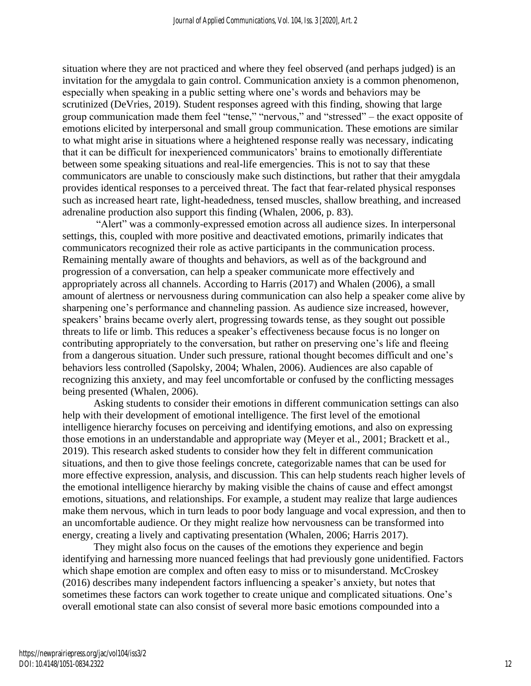situation where they are not practiced and where they feel observed (and perhaps judged) is an invitation for the amygdala to gain control. Communication anxiety is a common phenomenon, especially when speaking in a public setting where one's words and behaviors may be scrutinized (DeVries, 2019). Student responses agreed with this finding, showing that large group communication made them feel "tense," "nervous," and "stressed" – the exact opposite of emotions elicited by interpersonal and small group communication. These emotions are similar to what might arise in situations where a heightened response really was necessary, indicating that it can be difficult for inexperienced communicators' brains to emotionally differentiate between some speaking situations and real-life emergencies. This is not to say that these communicators are unable to consciously make such distinctions, but rather that their amygdala provides identical responses to a perceived threat. The fact that fear-related physical responses such as increased heart rate, light-headedness, tensed muscles, shallow breathing, and increased adrenaline production also support this finding (Whalen, 2006, p. 83).

"Alert" was a commonly-expressed emotion across all audience sizes. In interpersonal settings, this, coupled with more positive and deactivated emotions, primarily indicates that communicators recognized their role as active participants in the communication process. Remaining mentally aware of thoughts and behaviors, as well as of the background and progression of a conversation, can help a speaker communicate more effectively and appropriately across all channels. According to Harris (2017) and Whalen (2006), a small amount of alertness or nervousness during communication can also help a speaker come alive by sharpening one's performance and channeling passion. As audience size increased, however, speakers' brains became overly alert, progressing towards tense, as they sought out possible threats to life or limb. This reduces a speaker's effectiveness because focus is no longer on contributing appropriately to the conversation, but rather on preserving one's life and fleeing from a dangerous situation. Under such pressure, rational thought becomes difficult and one's behaviors less controlled (Sapolsky, 2004; Whalen, 2006). Audiences are also capable of recognizing this anxiety, and may feel uncomfortable or confused by the conflicting messages being presented (Whalen, 2006).

Asking students to consider their emotions in different communication settings can also help with their development of emotional intelligence. The first level of the emotional intelligence hierarchy focuses on perceiving and identifying emotions, and also on expressing those emotions in an understandable and appropriate way (Meyer et al., 2001; Brackett et al., 2019). This research asked students to consider how they felt in different communication situations, and then to give those feelings concrete, categorizable names that can be used for more effective expression, analysis, and discussion. This can help students reach higher levels of the emotional intelligence hierarchy by making visible the chains of cause and effect amongst emotions, situations, and relationships. For example, a student may realize that large audiences make them nervous, which in turn leads to poor body language and vocal expression, and then to an uncomfortable audience. Or they might realize how nervousness can be transformed into energy, creating a lively and captivating presentation (Whalen, 2006; Harris 2017).

They might also focus on the causes of the emotions they experience and begin identifying and harnessing more nuanced feelings that had previously gone unidentified. Factors which shape emotion are complex and often easy to miss or to misunderstand. McCroskey (2016) describes many independent factors influencing a speaker's anxiety, but notes that sometimes these factors can work together to create unique and complicated situations. One's overall emotional state can also consist of several more basic emotions compounded into a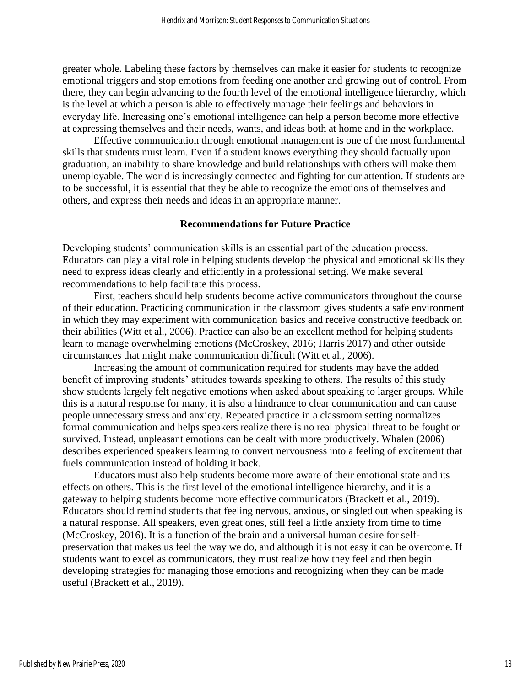greater whole. Labeling these factors by themselves can make it easier for students to recognize emotional triggers and stop emotions from feeding one another and growing out of control. From there, they can begin advancing to the fourth level of the emotional intelligence hierarchy, which is the level at which a person is able to effectively manage their feelings and behaviors in everyday life. Increasing one's emotional intelligence can help a person become more effective at expressing themselves and their needs, wants, and ideas both at home and in the workplace.

Effective communication through emotional management is one of the most fundamental skills that students must learn. Even if a student knows everything they should factually upon graduation, an inability to share knowledge and build relationships with others will make them unemployable. The world is increasingly connected and fighting for our attention. If students are to be successful, it is essential that they be able to recognize the emotions of themselves and others, and express their needs and ideas in an appropriate manner.

#### **Recommendations for Future Practice**

Developing students' communication skills is an essential part of the education process. Educators can play a vital role in helping students develop the physical and emotional skills they need to express ideas clearly and efficiently in a professional setting. We make several recommendations to help facilitate this process.

First, teachers should help students become active communicators throughout the course of their education. Practicing communication in the classroom gives students a safe environment in which they may experiment with communication basics and receive constructive feedback on their abilities (Witt et al., 2006). Practice can also be an excellent method for helping students learn to manage overwhelming emotions (McCroskey, 2016; Harris 2017) and other outside circumstances that might make communication difficult (Witt et al., 2006).

Increasing the amount of communication required for students may have the added benefit of improving students' attitudes towards speaking to others. The results of this study show students largely felt negative emotions when asked about speaking to larger groups. While this is a natural response for many, it is also a hindrance to clear communication and can cause people unnecessary stress and anxiety. Repeated practice in a classroom setting normalizes formal communication and helps speakers realize there is no real physical threat to be fought or survived. Instead, unpleasant emotions can be dealt with more productively. Whalen (2006) describes experienced speakers learning to convert nervousness into a feeling of excitement that fuels communication instead of holding it back.

Educators must also help students become more aware of their emotional state and its effects on others. This is the first level of the emotional intelligence hierarchy, and it is a gateway to helping students become more effective communicators (Brackett et al., 2019). Educators should remind students that feeling nervous, anxious, or singled out when speaking is a natural response. All speakers, even great ones, still feel a little anxiety from time to time (McCroskey, 2016). It is a function of the brain and a universal human desire for selfpreservation that makes us feel the way we do, and although it is not easy it can be overcome. If students want to excel as communicators, they must realize how they feel and then begin developing strategies for managing those emotions and recognizing when they can be made useful (Brackett et al., 2019).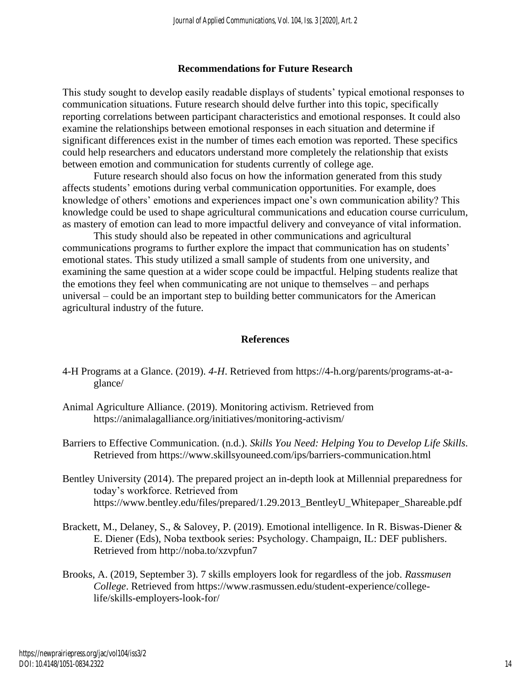## **Recommendations for Future Research**

This study sought to develop easily readable displays of students' typical emotional responses to communication situations. Future research should delve further into this topic, specifically reporting correlations between participant characteristics and emotional responses. It could also examine the relationships between emotional responses in each situation and determine if significant differences exist in the number of times each emotion was reported. These specifics could help researchers and educators understand more completely the relationship that exists between emotion and communication for students currently of college age.

Future research should also focus on how the information generated from this study affects students' emotions during verbal communication opportunities. For example, does knowledge of others' emotions and experiences impact one's own communication ability? This knowledge could be used to shape agricultural communications and education course curriculum, as mastery of emotion can lead to more impactful delivery and conveyance of vital information.

This study should also be repeated in other communications and agricultural communications programs to further explore the impact that communication has on students' emotional states. This study utilized a small sample of students from one university, and examining the same question at a wider scope could be impactful. Helping students realize that the emotions they feel when communicating are not unique to themselves – and perhaps universal – could be an important step to building better communicators for the American agricultural industry of the future.

## **References**

- 4-H Programs at a Glance. (2019). *4-H*. Retrieved from https://4-h.org/parents/programs-at-aglance/
- Animal Agriculture Alliance. (2019). Monitoring activism. Retrieved from https://animalagalliance.org/initiatives/monitoring-activism/

Barriers to Effective Communication. (n.d.). *Skills You Need: Helping You to Develop Life Skills.*  Retrieved from https://www.skillsyouneed.com/ips/barriers-communication.html

- Bentley University (2014). The prepared project an in-depth look at Millennial preparedness for today's workforce. Retrieved from https://www.bentley.edu/files/prepared/1.29.2013 BentleyU Whitepaper Shareable.pdf
- Brackett, M., Delaney, S., & Salovey, P. (2019). Emotional intelligence. In R. Biswas-Diener & E. Diener (Eds), Noba textbook series: Psychology. Champaign, IL: DEF publishers. Retrieved from http://noba.to/xzvpfun7
- Brooks, A. (2019, September 3). 7 skills employers look for regardless of the job. *Rassmusen College*. Retrieved from https://www.rasmussen.edu/student-experience/collegelife/skills-employers-look-for/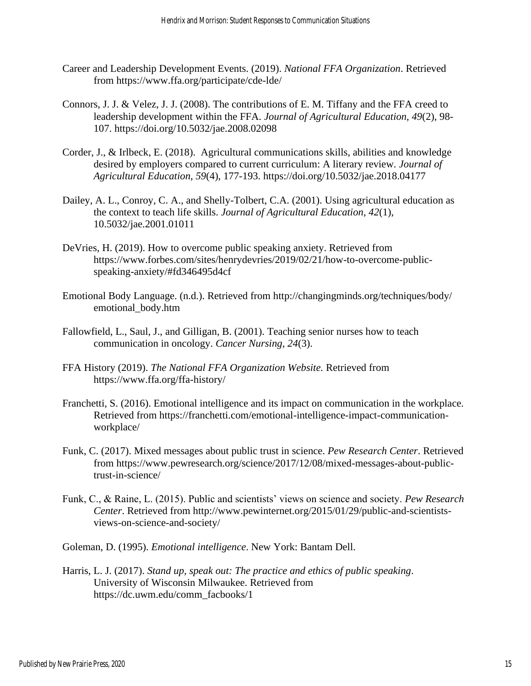- Career and Leadership Development Events. (2019). *National FFA Organization*. Retrieved from https://www.ffa.org/participate/cde-lde/
- Connors, J. J. & Velez, J. J. (2008). The contributions of E. M. Tiffany and the FFA creed to leadership development within the FFA. *Journal of Agricultural Education, 49*(2), 98- 107. https://doi.org/10.5032/jae.2008.02098
- Corder, J., & Irlbeck, E. (2018). Agricultural communications skills, abilities and knowledge desired by employers compared to current curriculum: A literary review. *Journal of Agricultural Education*, *59*(4), 177-193. https://doi.org/10.5032/jae.2018.04177
- Dailey, A. L., Conroy, C. A., and Shelly-Tolbert, C.A. (2001). Using agricultural education as the context to teach life skills. *Journal of Agricultural Education, 42*(1), 10.5032/jae.2001.01011
- DeVries, H. (2019). How to overcome public speaking anxiety. Retrieved from https://www.forbes.com/sites/henrydevries/2019/02/21/how-to-overcome-publicspeaking-anxiety/#fd346495d4cf
- Emotional Body Language. (n.d.). Retrieved from http://changingminds.org/techniques/body/ emotional\_body.htm
- Fallowfield, L., Saul, J., and Gilligan, B. (2001). Teaching senior nurses how to teach communication in oncology. *Cancer Nursing, 24*(3).
- FFA History (2019). *The National FFA Organization Website.* Retrieved from https://www.ffa.org/ffa-history/
- Franchetti, S. (2016). Emotional intelligence and its impact on communication in the workplace. Retrieved from https://franchetti.com/emotional-intelligence-impact-communicationworkplace/
- Funk, C. (2017). Mixed messages about public trust in science. *Pew Research Center*. Retrieved from https://www.pewresearch.org/science/2017/12/08/mixed-messages-about-publictrust-in-science/
- Funk, C., & Raine, L. (2015). Public and scientists' views on science and society. *Pew Research Center*. Retrieved from http://www.pewinternet.org/2015/01/29/public-and-scientistsviews-on-science-and-society/
- Goleman, D. (1995). *Emotional intelligence*. New York: Bantam Dell.
- Harris, L. J. (2017). *Stand up, speak out: The practice and ethics of public speaking*. University of Wisconsin Milwaukee. Retrieved from https://dc.uwm.edu/comm\_facbooks/1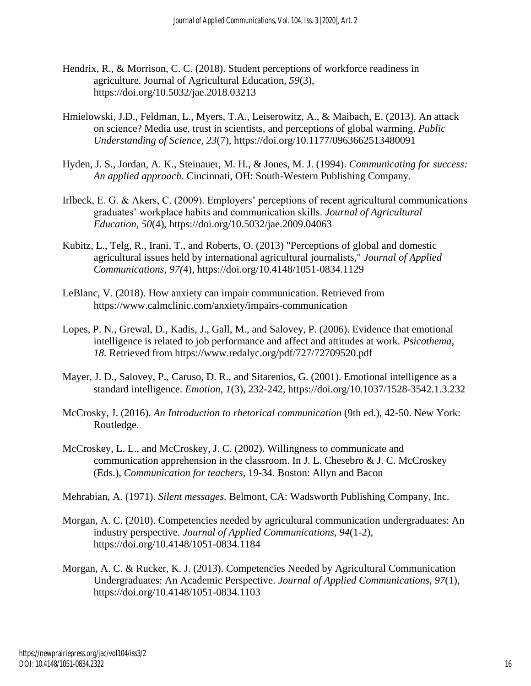- Hendrix, R., & Morrison, C. C. (2018). Student perceptions of workforce readiness in agriculture. Journal of Agricultural Education, *59*(3), https://doi.org/10.5032/jae.2018.03213
- Hmielowski, J.D., Feldman, L., Myers, T.A., Leiserowitz, A., & Maibach, E. (2013). An attack on science? Media use, trust in scientists, and perceptions of global warming. *Public Understanding of Science, 23*(7), https://doi.org/10.1177/0963662513480091
- Hyden, J. S., Jordan, A. K., Steinauer, M. H., & Jones, M. J. (1994). *Communicating for success: An applied approach*. Cincinnati, OH: South-Western Publishing Company.
- Irlbeck, E. G. & Akers, C. (2009). Employers' perceptions of recent agricultural communications graduates' workplace habits and communication skills. *Journal of Agricultural Education, 50*(4), https://doi.org/10.5032/jae.2009.04063
- Kubitz, L., Telg, R., Irani, T., and Roberts, O. (2013) "Perceptions of global and domestic agricultural issues held by international agricultural journalists," *Journal of Applied Communications, 97(*4), https://doi.org/10.4148/1051-0834.1129
- LeBlanc, V. (2018). How anxiety can impair communication. Retrieved from https://www.calmclinic.com/anxiety/impairs-communication
- Lopes, P. N., Grewal, D., Kadis, J., Gall, M., and Salovey, P. (2006). Evidence that emotional intelligence is related to job performance and affect and attitudes at work. *Psicothema, 18.* Retrieved from https://www.redalyc.org/pdf/727/72709520.pdf
- Mayer, J. D., Salovey, P., Caruso, D. R., and Sitarenios, G. (2001). Emotional intelligence as a standard intelligence. *Emotion, 1*(3), 232-242, https://doi.org/10.1037/1528-3542.1.3.232
- McCrosky, J. (2016). *An Introduction to rhetorical communication* (9th ed.), 42-50. New York: Routledge.
- McCroskey, L. L., and McCroskey, J. C. (2002). Willingness to communicate and communication apprehension in the classroom. In J. L. Chesebro & J. C. McCroskey (Eds.), *Communication for teachers*, 19-34. Boston: Allyn and Bacon
- Mehrabian, A. (1971). *Silent messages*. Belmont, CA: Wadsworth Publishing Company, Inc.
- Morgan, A. C. (2010). Competencies needed by agricultural communication undergraduates: An industry perspective. *Journal of Applied Communications, 94*(1-2), https://doi.org/10.4148/1051-0834.1184
- Morgan, A. C. & Rucker, K. J. (2013). Competencies Needed by Agricultural Communication Undergraduates: An Academic Perspective. *Journal of Applied Communications, 97*(1), https://doi.org/10.4148/1051-0834.1103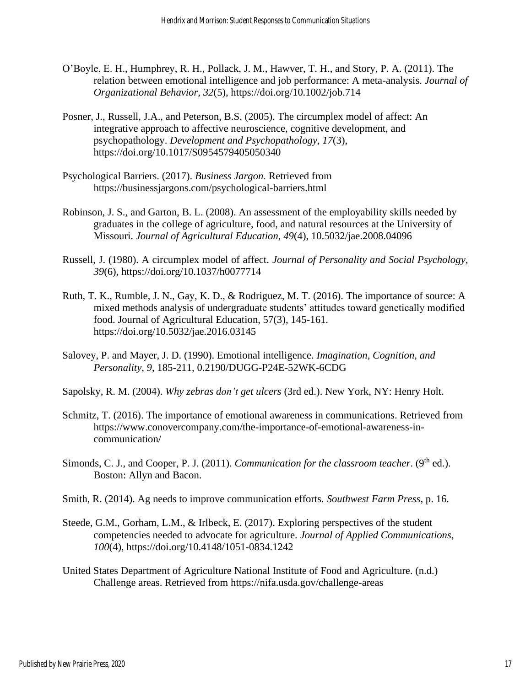- O'Boyle, E. H., Humphrey, R. H., Pollack, J. M., Hawver, T. H., and Story, P. A. (2011). The relation between emotional intelligence and job performance: A meta-analysis. *Journal of Organizational Behavior, 32*(5), https://doi.org/10.1002/job.714
- Posner, J., Russell, J.A., and Peterson, B.S. (2005). The circumplex model of affect: An integrative approach to affective neuroscience, cognitive development, and psychopathology. *Development and Psychopathology, 17*(3), https://doi.org/10.1017/S0954579405050340
- Psychological Barriers. (2017). *Business Jargon.* Retrieved from <https://businessjargons.com/psychological-barriers.html>
- Robinson, J. S., and Garton, B. L. (2008). An assessment of the employability skills needed by graduates in the college of agriculture, food, and natural resources at the University of Missouri. *Journal of Agricultural Education, 49*(4), 10.5032/jae.2008.04096
- Russell, J. (1980). A circumplex model of affect. *Journal of Personality and Social Psychology, 39*(6), https://doi.org/10.1037/h0077714
- Ruth, T. K., Rumble, J. N., Gay, K. D., & Rodriguez, M. T. (2016). The importance of source: A mixed methods analysis of undergraduate students' attitudes toward genetically modified food. Journal of Agricultural Education, 57(3), 145-161. https://doi.org/10.5032/jae.2016.03145
- Salovey, P. and Mayer, J. D. (1990). Emotional intelligence. *Imagination, Cognition, and Personality, 9*, 185-211, 0.2190/DUGG-P24E-52WK-6CDG
- Sapolsky, R. M. (2004). *Why zebras don't get ulcers* (3rd ed.). New York, NY: Henry Holt.
- Schmitz, T. (2016). The importance of emotional awareness in communications. Retrieved from https://www.conovercompany.com/the-importance-of-emotional-awareness-incommunication/
- Simonds, C. J., and Cooper, P. J. (2011). *Communication for the classroom teacher*. (9<sup>th</sup> ed.). Boston: Allyn and Bacon.
- Smith, R. (2014). Ag needs to improve communication efforts. *Southwest Farm Press*, p. 16.
- Steede, G.M., Gorham, L.M., & Irlbeck, E. (2017). Exploring perspectives of the student competencies needed to advocate for agriculture. *Journal of Applied Communications, 100*(4), https://doi.org/10.4148/1051-0834.1242
- United States Department of Agriculture National Institute of Food and Agriculture. (n.d.) Challenge areas. Retrieved from https://nifa.usda.gov/challenge-areas